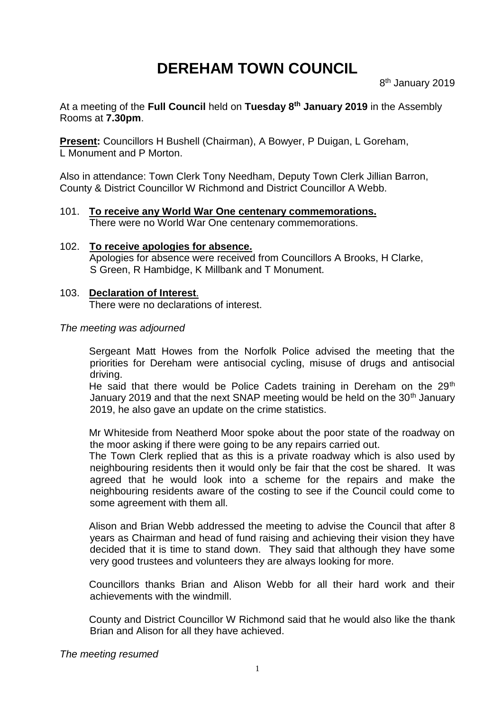# **DEREHAM TOWN COUNCIL**

At a meeting of the **Full Council** held on **Tuesday 8 th January 2019** in the Assembly Rooms at **7.30pm**.

**Present:** Councillors H Bushell (Chairman), A Bowyer, P Duigan, L Goreham, L Monument and P Morton.

Also in attendance: Town Clerk Tony Needham, Deputy Town Clerk Jillian Barron, County & District Councillor W Richmond and District Councillor A Webb.

- 101. **To receive any World War One centenary commemorations.** There were no World War One centenary commemorations.
- 102. **To receive apologies for absence.** Apologies for absence were received from Councillors A Brooks, H Clarke, S Green, R Hambidge, K Millbank and T Monument.

#### 103. **Declaration of Interest**. There were no declarations of interest.

#### *The meeting was adjourned*

Sergeant Matt Howes from the Norfolk Police advised the meeting that the priorities for Dereham were antisocial cycling, misuse of drugs and antisocial driving.

He said that there would be Police Cadets training in Dereham on the 29<sup>th</sup> January 2019 and that the next SNAP meeting would be held on the 30<sup>th</sup> January 2019, he also gave an update on the crime statistics.

Mr Whiteside from Neatherd Moor spoke about the poor state of the roadway on the moor asking if there were going to be any repairs carried out.

The Town Clerk replied that as this is a private roadway which is also used by neighbouring residents then it would only be fair that the cost be shared. It was agreed that he would look into a scheme for the repairs and make the neighbouring residents aware of the costing to see if the Council could come to some agreement with them all.

Alison and Brian Webb addressed the meeting to advise the Council that after 8 years as Chairman and head of fund raising and achieving their vision they have decided that it is time to stand down. They said that although they have some very good trustees and volunteers they are always looking for more.

Councillors thanks Brian and Alison Webb for all their hard work and their achievements with the windmill.

County and District Councillor W Richmond said that he would also like the thank Brian and Alison for all they have achieved.

*The meeting resumed*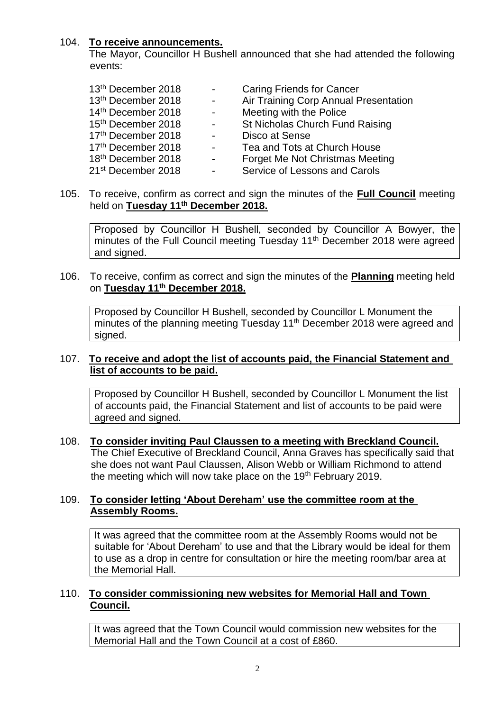## 104. **To receive announcements.**

The Mayor, Councillor H Bushell announced that she had attended the following events:

| 13th December 2018             | $\sim$         | <b>Caring Friends for Cancer</b>       |
|--------------------------------|----------------|----------------------------------------|
| 13th December 2018             | $\sim$         | Air Training Corp Annual Presentation  |
| 14th December 2018             | $\mathbf{r}$   | Meeting with the Police                |
| 15 <sup>th</sup> December 2018 | $\blacksquare$ | St Nicholas Church Fund Raising        |
| 17th December 2018             | $\overline{a}$ | Disco at Sense                         |
| 17th December 2018             | ÷,             | Tea and Tots at Church House           |
| 18 <sup>th</sup> December 2018 | $\mathbf{r}$   | <b>Forget Me Not Christmas Meeting</b> |
| 21 <sup>st</sup> December 2018 | $\blacksquare$ | Service of Lessons and Carols          |

105. To receive, confirm as correct and sign the minutes of the **Full Council** meeting held on **Tuesday 11th December 2018.**

Proposed by Councillor H Bushell, seconded by Councillor A Bowyer, the minutes of the Full Council meeting Tuesday 11<sup>th</sup> December 2018 were agreed and signed.

106. To receive, confirm as correct and sign the minutes of the **Planning** meeting held on **Tuesday 11th December 2018.**

Proposed by Councillor H Bushell, seconded by Councillor L Monument the minutes of the planning meeting Tuesday 11<sup>th</sup> December 2018 were agreed and signed.

### 107. **To receive and adopt the list of accounts paid, the Financial Statement and list of accounts to be paid.**

Proposed by Councillor H Bushell, seconded by Councillor L Monument the list of accounts paid, the Financial Statement and list of accounts to be paid were agreed and signed.

108. **To consider inviting Paul Claussen to a meeting with Breckland Council.** The Chief Executive of Breckland Council, Anna Graves has specifically said that she does not want Paul Claussen, Alison Webb or William Richmond to attend the meeting which will now take place on the 19<sup>th</sup> February 2019.

### 109. **To consider letting 'About Dereham' use the committee room at the Assembly Rooms.**

It was agreed that the committee room at the Assembly Rooms would not be suitable for 'About Dereham' to use and that the Library would be ideal for them to use as a drop in centre for consultation or hire the meeting room/bar area at the Memorial Hall.

### 110. **To consider commissioning new websites for Memorial Hall and Town Council.**

It was agreed that the Town Council would commission new websites for the Memorial Hall and the Town Council at a cost of £860.